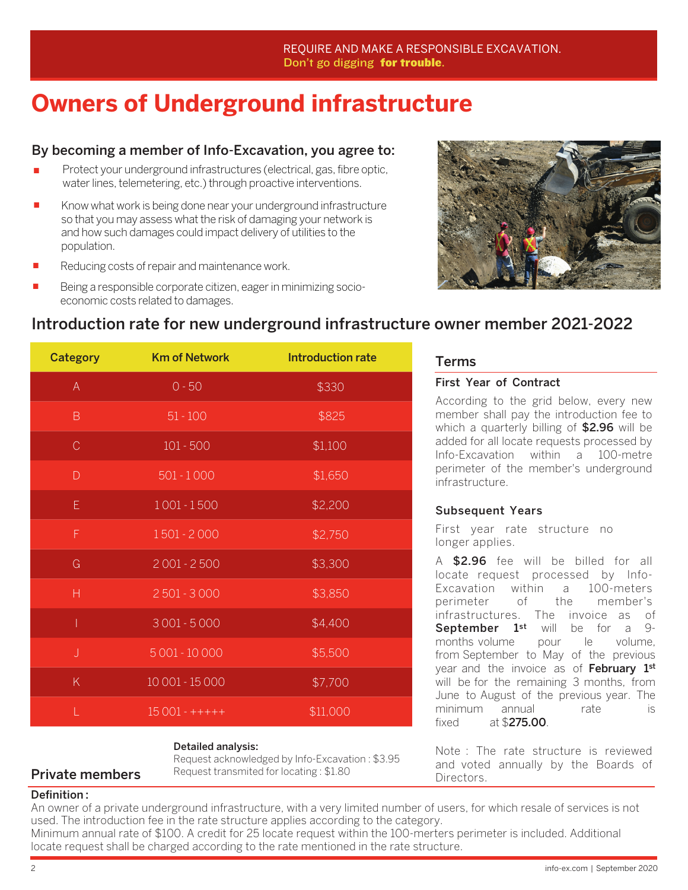## **Owners of Underground infrastructure**

#### By becoming a member of Info-Excavation, you agree to:

- Protect your underground infrastructures (electrical, gas, fibre optic, water lines, telemetering, etc.) through proactive interventions.
- Know what work is being done near your underground infrastructure so that you may assess what the risk of damaging your network is and how such damages could impact delivery of utilities to the population. ≠
- Reducing costs of repair and maintenance work. ≠
- Being a responsible corporate citizen, eager in minimizing socioeconomic costs related to damages. ≠



### Introduction rate for new underground infrastructure owner member 2021-2022

| <b>Category</b>                                                                | <b>Km of Network</b> | Introduction rate |
|--------------------------------------------------------------------------------|----------------------|-------------------|
| $\mathsf{A}% _{\mathsf{A}}^{\prime}=\mathsf{A}_{\mathsf{A}}^{\prime}$          | $0 - 50$             | \$330             |
| $\mathsf B$                                                                    | $51 - 100$           | \$825             |
| $\mathcal{C}$                                                                  | $101 - 500$          | \$1,100           |
| $\mathsf{D}% _{T}$                                                             | $501 - 1000$         | \$1,650           |
| $\mathsf{E}% _{0}\left( t\right) \equiv\mathsf{E}_{\mathrm{H}}\left( t\right)$ | $1001 - 1500$        | \$2,200           |
| $\mathsf F$                                                                    | 1501 - 2000          | \$2,750           |
| G                                                                              | $2001 - 2500$        | \$3,300           |
| H                                                                              | $2501 - 3000$        | \$3,850           |
| Ī                                                                              | $3001 - 5000$        | \$4,400           |
| $\bigcup$                                                                      | 5 001 - 10 000       | \$5,500           |
| K                                                                              | 10 001 - 15 000      | \$7,700           |
|                                                                                | $15001 - + + + + +$  | \$11,000          |

#### Detailed analysis:

**Private members** Request transmited for locating : \$1.80 Directors. Request acknowledged by Info-Excavation : \$3.95

#### Terms

#### First Year of Contract

According to the grid below, every new member shall pay the introduction fee to which a quarterly billing of \$2.96 will be added for all locate requests processed by Info-Excavation within a 100-metre perimeter of the member's underground infrastructure.

#### Subsequent Years

First year rate structure no longer applies.

A \$2.96 fee will be billed for all locate request processed by Info-Excavation within a 100-meters perimeter of the member's infrastructures. The invoice as of September 1<sup>st</sup> will be for a 9months volume pour le volume, from September to May of the previous year and the invoice as of February 1st will be for the remaining 3 months, from June to August of the previous year. The minimum annual rate is fixed at \$275.00.

Note : The rate structure is reviewed and voted annually by the Boards of

#### Definition :

An owner of a private underground infrastructure, with a very limited number of users, for which resale of services is not used. The introduction fee in the rate structure applies according to the category.

Minimum annual rate of \$100. A credit for 25 locate request within the 100-merters perimeter is included. Additional locate request shall be charged according to the rate mentioned in the rate structure.